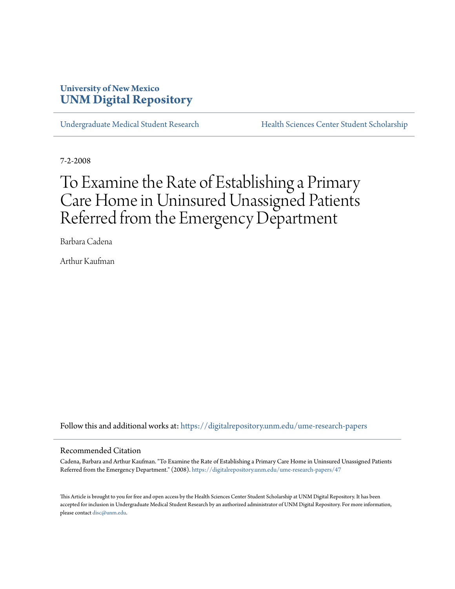### **University of New Mexico [UNM Digital Repository](https://digitalrepository.unm.edu?utm_source=digitalrepository.unm.edu%2Fume-research-papers%2F47&utm_medium=PDF&utm_campaign=PDFCoverPages)**

[Undergraduate Medical Student Research](https://digitalrepository.unm.edu/ume-research-papers?utm_source=digitalrepository.unm.edu%2Fume-research-papers%2F47&utm_medium=PDF&utm_campaign=PDFCoverPages) [Health Sciences Center Student Scholarship](https://digitalrepository.unm.edu/hsc-students?utm_source=digitalrepository.unm.edu%2Fume-research-papers%2F47&utm_medium=PDF&utm_campaign=PDFCoverPages)

7-2-2008

# To Examine the Rate of Establishing a Primary Care Home in Uninsured Unassigned Patients Referred from the Emergency Department

Barbara Cadena

Arthur Kaufman

Follow this and additional works at: [https://digitalrepository.unm.edu/ume-research-papers](https://digitalrepository.unm.edu/ume-research-papers?utm_source=digitalrepository.unm.edu%2Fume-research-papers%2F47&utm_medium=PDF&utm_campaign=PDFCoverPages)

#### Recommended Citation

Cadena, Barbara and Arthur Kaufman. "To Examine the Rate of Establishing a Primary Care Home in Uninsured Unassigned Patients Referred from the Emergency Department." (2008). [https://digitalrepository.unm.edu/ume-research-papers/47](https://digitalrepository.unm.edu/ume-research-papers/47?utm_source=digitalrepository.unm.edu%2Fume-research-papers%2F47&utm_medium=PDF&utm_campaign=PDFCoverPages)

This Article is brought to you for free and open access by the Health Sciences Center Student Scholarship at UNM Digital Repository. It has been accepted for inclusion in Undergraduate Medical Student Research by an authorized administrator of UNM Digital Repository. For more information, please contact [disc@unm.edu.](mailto:disc@unm.edu)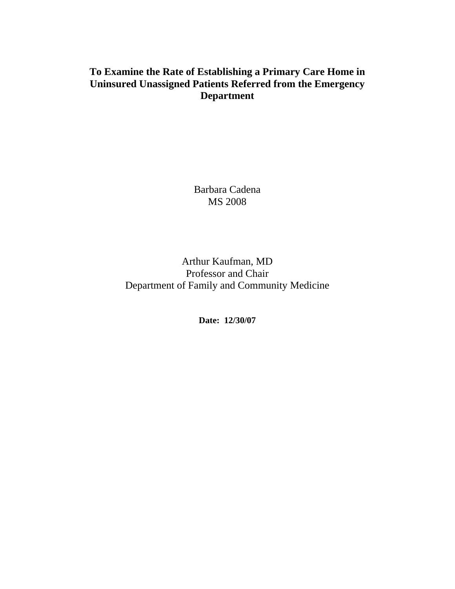## **To Examine the Rate of Establishing a Primary Care Home in Uninsured Unassigned Patients Referred from the Emergency Department**

Barbara Cadena MS 2008

## Arthur Kaufman, MD Professor and Chair Department of Family and Community Medicine

**Date: 12/30/07**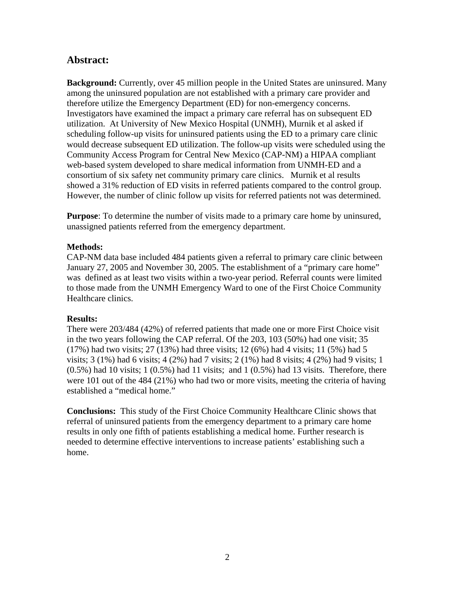### **Abstract:**

**Background:** Currently, over 45 million people in the United States are uninsured. Many among the uninsured population are not established with a primary care provider and therefore utilize the Emergency Department (ED) for non-emergency concerns. Investigators have examined the impact a primary care referral has on subsequent ED utilization. At University of New Mexico Hospital (UNMH), Murnik et al asked if scheduling follow-up visits for uninsured patients using the ED to a primary care clinic would decrease subsequent ED utilization. The follow-up visits were scheduled using the Community Access Program for Central New Mexico (CAP-NM) a HIPAA compliant web-based system developed to share medical information from UNMH-ED and a consortium of six safety net community primary care clinics. Murnik et al results showed a 31% reduction of ED visits in referred patients compared to the control group. However, the number of clinic follow up visits for referred patients not was determined.

**Purpose**: To determine the number of visits made to a primary care home by uninsured, unassigned patients referred from the emergency department.

#### **Methods:**

CAP-NM data base included 484 patients given a referral to primary care clinic between January 27, 2005 and November 30, 2005. The establishment of a "primary care home" was defined as at least two visits within a two-year period. Referral counts were limited to those made from the UNMH Emergency Ward to one of the First Choice Community Healthcare clinics.

#### **Results:**

There were 203/484 (42%) of referred patients that made one or more First Choice visit in the two years following the CAP referral. Of the 203, 103 (50%) had one visit; 35 (17%) had two visits; 27 (13%) had three visits; 12 (6%) had 4 visits; 11 (5%) had 5 visits; 3 (1%) had 6 visits; 4 (2%) had 7 visits; 2 (1%) had 8 visits; 4 (2%) had 9 visits; 1  $(0.5\%)$  had 10 visits; 1  $(0.5\%)$  had 11 visits; and 1  $(0.5\%)$  had 13 visits. Therefore, there were 101 out of the 484 (21%) who had two or more visits, meeting the criteria of having established a "medical home."

**Conclusions:** This study of the First Choice Community Healthcare Clinic shows that referral of uninsured patients from the emergency department to a primary care home results in only one fifth of patients establishing a medical home. Further research is needed to determine effective interventions to increase patients' establishing such a home.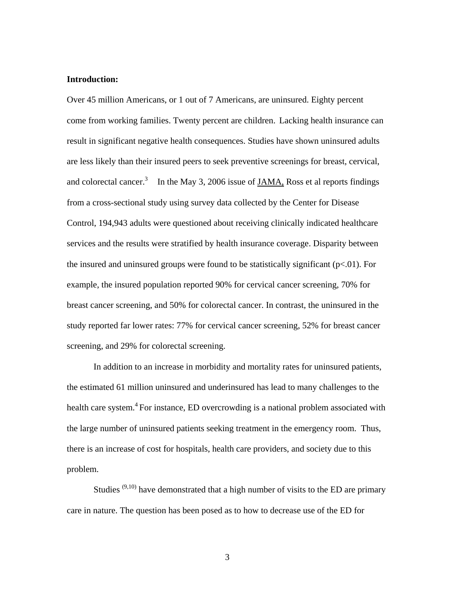#### **Introduction:**

Over 45 million Americans, or 1 out of 7 Americans, are uninsured. Eighty percent come from working families. Twenty percent are children. Lacking health insurance can result in significant negative health consequences. Studies have shown uninsured adults are less likely than their insured peers to seek preventive screenings for breast, cervical, and colorectal cancer.<sup>3</sup> In the May 3, 2006 issue of JAMA, Ross et al reports findings from a cross-sectional study using survey data collected by the Center for Disease Control, 194,943 adults were questioned about receiving clinically indicated healthcare services and the results were stratified by health insurance coverage. Disparity between the insured and uninsured groups were found to be statistically significant  $(p<0.01)$ . For example, the insured population reported 90% for cervical cancer screening, 70% for breast cancer screening, and 50% for colorectal cancer. In contrast, the uninsured in the study reported far lower rates: 77% for cervical cancer screening, 52% for breast cancer screening, and 29% for colorectal screening.

In addition to an increase in morbidity and mortality rates for uninsured patients, the estimated 61 million uninsured and underinsured has lead to many challenges to the health care system.<sup>4</sup> For instance, ED overcrowding is a national problem associated with the large number of uninsured patients seeking treatment in the emergency room. Thus, there is an increase of cost for hospitals, health care providers, and society due to this problem.

Studies  $(9,10)$  have demonstrated that a high number of visits to the ED are primary care in nature. The question has been posed as to how to decrease use of the ED for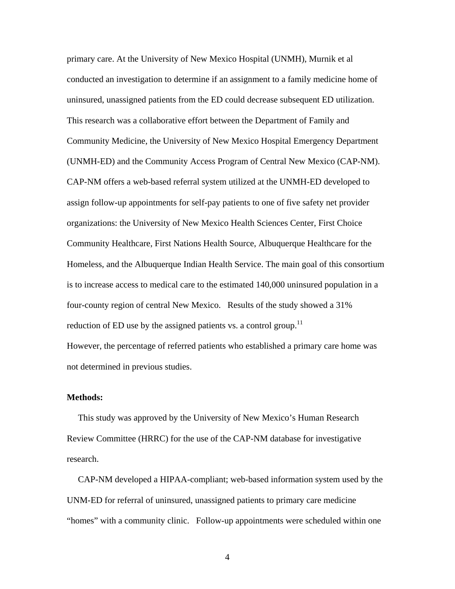primary care. At the University of New Mexico Hospital (UNMH), Murnik et al conducted an investigation to determine if an assignment to a family medicine home of uninsured, unassigned patients from the ED could decrease subsequent ED utilization. This research was a collaborative effort between the Department of Family and Community Medicine, the University of New Mexico Hospital Emergency Department (UNMH-ED) and the Community Access Program of Central New Mexico (CAP-NM). CAP-NM offers a web-based referral system utilized at the UNMH-ED developed to assign follow-up appointments for self-pay patients to one of five safety net provider organizations: the University of New Mexico Health Sciences Center, First Choice Community Healthcare, First Nations Health Source, Albuquerque Healthcare for the Homeless, and the Albuquerque Indian Health Service. The main goal of this consortium is to increase access to medical care to the estimated 140,000 uninsured population in a four-county region of central New Mexico. Results of the study showed a 31% reduction of ED use by the assigned patients vs. a control group.<sup>11</sup> However, the percentage of referred patients who established a primary care home was not determined in previous studies.

#### **Methods:**

 This study was approved by the University of New Mexico's Human Research Review Committee (HRRC) for the use of the CAP-NM database for investigative research.

 CAP-NM developed a HIPAA-compliant; web-based information system used by the UNM-ED for referral of uninsured, unassigned patients to primary care medicine "homes" with a community clinic. Follow-up appointments were scheduled within one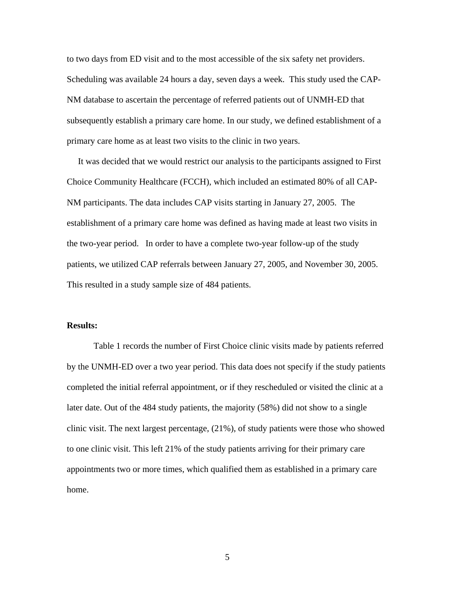to two days from ED visit and to the most accessible of the six safety net providers. Scheduling was available 24 hours a day, seven days a week. This study used the CAP-NM database to ascertain the percentage of referred patients out of UNMH-ED that subsequently establish a primary care home. In our study, we defined establishment of a primary care home as at least two visits to the clinic in two years.

 It was decided that we would restrict our analysis to the participants assigned to First Choice Community Healthcare (FCCH), which included an estimated 80% of all CAP-NM participants. The data includes CAP visits starting in January 27, 2005. The establishment of a primary care home was defined as having made at least two visits in the two-year period. In order to have a complete two-year follow-up of the study patients, we utilized CAP referrals between January 27, 2005, and November 30, 2005. This resulted in a study sample size of 484 patients.

#### **Results:**

Table 1 records the number of First Choice clinic visits made by patients referred by the UNMH-ED over a two year period. This data does not specify if the study patients completed the initial referral appointment, or if they rescheduled or visited the clinic at a later date. Out of the 484 study patients, the majority (58%) did not show to a single clinic visit. The next largest percentage, (21%), of study patients were those who showed to one clinic visit. This left 21% of the study patients arriving for their primary care appointments two or more times, which qualified them as established in a primary care home.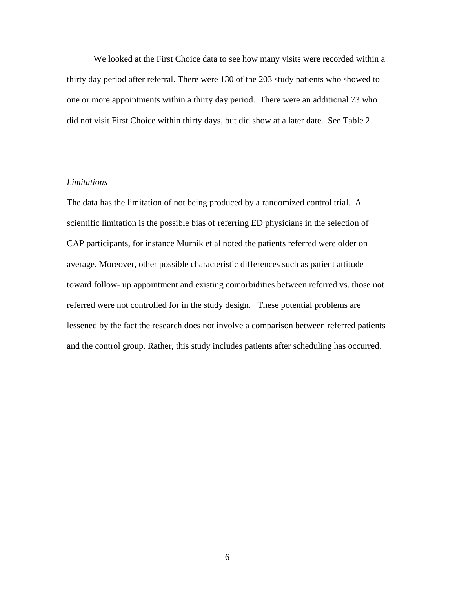We looked at the First Choice data to see how many visits were recorded within a thirty day period after referral. There were 130 of the 203 study patients who showed to one or more appointments within a thirty day period. There were an additional 73 who did not visit First Choice within thirty days, but did show at a later date. See Table 2.

#### *Limitations*

The data has the limitation of not being produced by a randomized control trial. A scientific limitation is the possible bias of referring ED physicians in the selection of CAP participants, for instance Murnik et al noted the patients referred were older on average. Moreover, other possible characteristic differences such as patient attitude toward follow- up appointment and existing comorbidities between referred vs. those not referred were not controlled for in the study design. These potential problems are lessened by the fact the research does not involve a comparison between referred patients and the control group. Rather, this study includes patients after scheduling has occurred.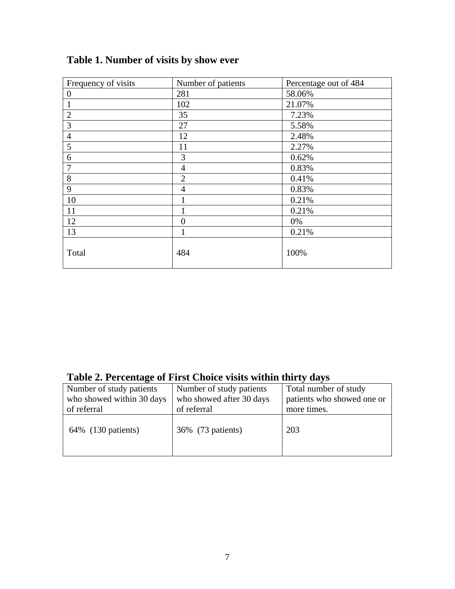| Frequency of visits | Number of patients | Percentage out of 484 |
|---------------------|--------------------|-----------------------|
| $\overline{0}$      | 281                | 58.06%                |
|                     | 102                | 21.07%                |
| $\overline{2}$      | 35                 | 7.23%                 |
| 3                   | 27                 | 5.58%                 |
| $\overline{4}$      | 12                 | 2.48%                 |
| 5                   | 11                 | 2.27%                 |
| 6                   | 3                  | 0.62%                 |
| 7                   | $\overline{4}$     | 0.83%                 |
| 8                   | 2                  | 0.41%                 |
| 9                   | $\overline{4}$     | 0.83%                 |
| 10                  |                    | 0.21%                 |
| 11                  |                    | 0.21%                 |
| 12                  | $\overline{0}$     | 0%                    |
| 13                  | 1                  | 0.21%                 |
| Total               | 484                | 100%                  |

## **Table 1. Number of visits by show ever**

## **Table 2. Percentage of First Choice visits within thirty days**

| Number of study patients  | Number of study patients | Total number of study      |
|---------------------------|--------------------------|----------------------------|
| who showed within 30 days | who showed after 30 days | patients who showed one or |
| of referral               | of referral              | more times.                |
| 64\% (130 patients)       | 36% (73 patients)        | 203                        |
|                           |                          |                            |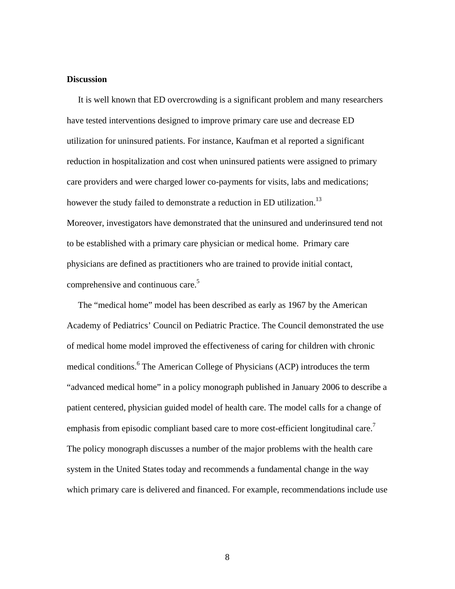#### **Discussion**

 It is well known that ED overcrowding is a significant problem and many researchers have tested interventions designed to improve primary care use and decrease ED utilization for uninsured patients. For instance, Kaufman et al reported a significant reduction in hospitalization and cost when uninsured patients were assigned to primary care providers and were charged lower co-payments for visits, labs and medications; however the study failed to demonstrate a reduction in ED utilization.<sup>13</sup> Moreover, investigators have demonstrated that the uninsured and underinsured tend not to be established with a primary care physician or medical home. Primary care physicians are defined as practitioners who are trained to provide initial contact, comprehensive and continuous care.<sup>5</sup>

 The "medical home" model has been described as early as 1967 by the American Academy of Pediatrics' Council on Pediatric Practice. The Council demonstrated the use of medical home model improved the effectiveness of caring for children with chronic medical conditions.<sup>6</sup> The American College of Physicians (ACP) introduces the term "advanced medical home" in a policy monograph published in January 2006 to describe a patient centered, physician guided model of health care. The model calls for a change of emphasis from episodic compliant based care to more cost-efficient longitudinal care.<sup>7</sup> The policy monograph discusses a number of the major problems with the health care system in the United States today and recommends a fundamental change in the way which primary care is delivered and financed. For example, recommendations include use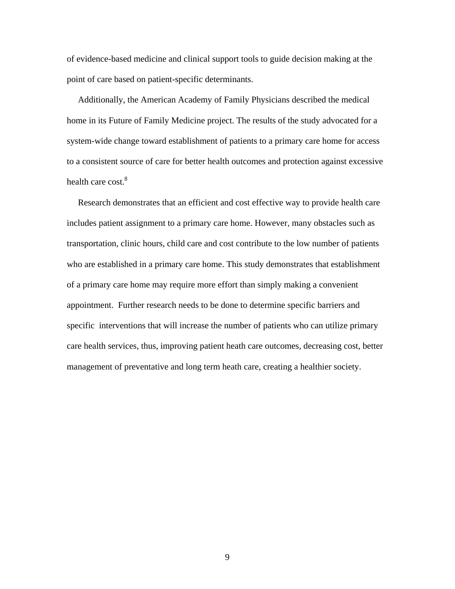of evidence-based medicine and clinical support tools to guide decision making at the point of care based on patient-specific determinants.

 Additionally, the American Academy of Family Physicians described the medical home in its Future of Family Medicine project. The results of the study advocated for a system-wide change toward establishment of patients to a primary care home for access to a consistent source of care for better health outcomes and protection against excessive health care cost.<sup>8</sup>

 Research demonstrates that an efficient and cost effective way to provide health care includes patient assignment to a primary care home. However, many obstacles such as transportation, clinic hours, child care and cost contribute to the low number of patients who are established in a primary care home. This study demonstrates that establishment of a primary care home may require more effort than simply making a convenient appointment. Further research needs to be done to determine specific barriers and specific interventions that will increase the number of patients who can utilize primary care health services, thus, improving patient heath care outcomes, decreasing cost, better management of preventative and long term heath care, creating a healthier society.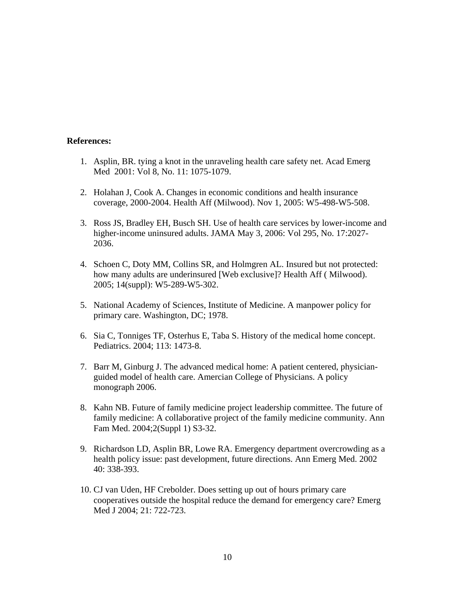#### **References:**

- 1. Asplin, BR. tying a knot in the unraveling health care safety net. Acad Emerg Med 2001: Vol 8, No. 11: 1075-1079.
- 2. Holahan J, Cook A. Changes in economic conditions and health insurance coverage, 2000-2004. Health Aff (Milwood). Nov 1, 2005: W5-498-W5-508.
- 3. Ross JS, Bradley EH, Busch SH. Use of health care services by lower-income and higher-income uninsured adults. JAMA May 3, 2006: Vol 295, No. 17:2027- 2036.
- 4. Schoen C, Doty MM, Collins SR, and Holmgren AL. Insured but not protected: how many adults are underinsured [Web exclusive]? Health Aff ( Milwood). 2005; 14(suppl): W5-289-W5-302.
- 5. National Academy of Sciences, Institute of Medicine. A manpower policy for primary care. Washington, DC; 1978.
- 6. Sia C, Tonniges TF, Osterhus E, Taba S. History of the medical home concept. Pediatrics. 2004; 113: 1473-8.
- 7. Barr M, Ginburg J. The advanced medical home: A patient centered, physicianguided model of health care. Amercian College of Physicians. A policy monograph 2006.
- 8. Kahn NB. Future of family medicine project leadership committee. The future of family medicine: A collaborative project of the family medicine community. Ann Fam Med. 2004;2(Suppl 1) S3-32.
- 9. Richardson LD, Asplin BR, Lowe RA. Emergency department overcrowding as a health policy issue: past development, future directions. Ann Emerg Med. 2002 40: 338-393.
- 10. CJ van Uden, HF Crebolder. Does setting up out of hours primary care cooperatives outside the hospital reduce the demand for emergency care? Emerg Med J 2004; 21: 722-723.